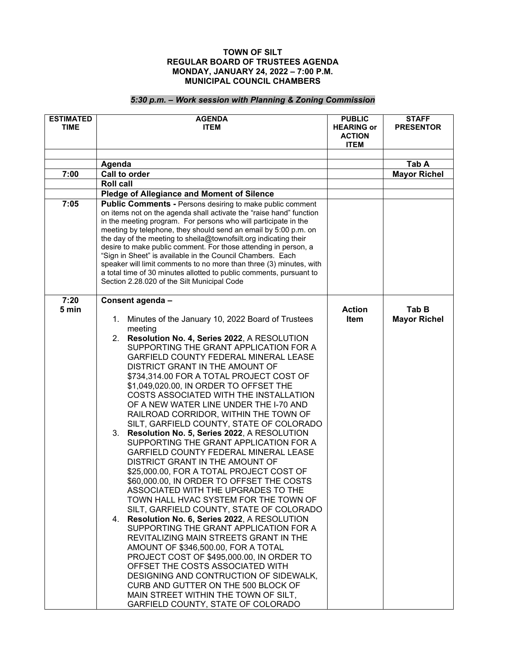## **TOWN OF SILT REGULAR BOARD OF TRUSTEES AGENDA MONDAY, JANUARY 24, 2022 – 7:00 P.M. MUNICIPAL COUNCIL CHAMBERS**

## *5:30 p.m. – Work session with Planning & Zoning Commission*

| <b>ESTIMATED</b><br><b>TIME</b> | <b>AGENDA</b><br><b>ITEM</b>                                                                                                                                                                                                                                                                                                                                                                                                                                                                                                                                                                                                                                             | <b>PUBLIC</b><br><b>HEARING or</b><br><b>ACTION</b><br><b>ITEM</b> | <b>STAFF</b><br><b>PRESENTOR</b> |
|---------------------------------|--------------------------------------------------------------------------------------------------------------------------------------------------------------------------------------------------------------------------------------------------------------------------------------------------------------------------------------------------------------------------------------------------------------------------------------------------------------------------------------------------------------------------------------------------------------------------------------------------------------------------------------------------------------------------|--------------------------------------------------------------------|----------------------------------|
|                                 |                                                                                                                                                                                                                                                                                                                                                                                                                                                                                                                                                                                                                                                                          |                                                                    |                                  |
|                                 | Agenda                                                                                                                                                                                                                                                                                                                                                                                                                                                                                                                                                                                                                                                                   |                                                                    | Tab A                            |
| 7:00                            | Call to order                                                                                                                                                                                                                                                                                                                                                                                                                                                                                                                                                                                                                                                            |                                                                    | <b>Mayor Richel</b>              |
|                                 | <b>Roll call</b>                                                                                                                                                                                                                                                                                                                                                                                                                                                                                                                                                                                                                                                         |                                                                    |                                  |
|                                 | <b>Pledge of Allegiance and Moment of Silence</b>                                                                                                                                                                                                                                                                                                                                                                                                                                                                                                                                                                                                                        |                                                                    |                                  |
| 7:05                            | Public Comments - Persons desiring to make public comment<br>on items not on the agenda shall activate the "raise hand" function<br>in the meeting program. For persons who will participate in the<br>meeting by telephone, they should send an email by 5:00 p.m. on<br>the day of the meeting to sheila@townofsilt.org indicating their<br>desire to make public comment. For those attending in person, a<br>"Sign in Sheet" is available in the Council Chambers. Each<br>speaker will limit comments to no more than three (3) minutes, with<br>a total time of 30 minutes allotted to public comments, pursuant to<br>Section 2.28.020 of the Silt Municipal Code |                                                                    |                                  |
| 7:20                            | Consent agenda -                                                                                                                                                                                                                                                                                                                                                                                                                                                                                                                                                                                                                                                         |                                                                    |                                  |
| 5 min                           |                                                                                                                                                                                                                                                                                                                                                                                                                                                                                                                                                                                                                                                                          | <b>Action</b>                                                      | Tab B                            |
|                                 | Minutes of the January 10, 2022 Board of Trustees<br>1.                                                                                                                                                                                                                                                                                                                                                                                                                                                                                                                                                                                                                  | Item                                                               | <b>Mayor Richel</b>              |
|                                 | meeting                                                                                                                                                                                                                                                                                                                                                                                                                                                                                                                                                                                                                                                                  |                                                                    |                                  |
|                                 | 2. Resolution No. 4, Series 2022, A RESOLUTION                                                                                                                                                                                                                                                                                                                                                                                                                                                                                                                                                                                                                           |                                                                    |                                  |
|                                 | SUPPORTING THE GRANT APPLICATION FOR A                                                                                                                                                                                                                                                                                                                                                                                                                                                                                                                                                                                                                                   |                                                                    |                                  |
|                                 | <b>GARFIELD COUNTY FEDERAL MINERAL LEASE</b>                                                                                                                                                                                                                                                                                                                                                                                                                                                                                                                                                                                                                             |                                                                    |                                  |
|                                 | DISTRICT GRANT IN THE AMOUNT OF                                                                                                                                                                                                                                                                                                                                                                                                                                                                                                                                                                                                                                          |                                                                    |                                  |
|                                 | \$734,314.00 FOR A TOTAL PROJECT COST OF<br>\$1,049,020.00, IN ORDER TO OFFSET THE                                                                                                                                                                                                                                                                                                                                                                                                                                                                                                                                                                                       |                                                                    |                                  |
|                                 | COSTS ASSOCIATED WITH THE INSTALLATION                                                                                                                                                                                                                                                                                                                                                                                                                                                                                                                                                                                                                                   |                                                                    |                                  |
|                                 | OF A NEW WATER LINE UNDER THE I-70 AND                                                                                                                                                                                                                                                                                                                                                                                                                                                                                                                                                                                                                                   |                                                                    |                                  |
|                                 | RAILROAD CORRIDOR, WITHIN THE TOWN OF                                                                                                                                                                                                                                                                                                                                                                                                                                                                                                                                                                                                                                    |                                                                    |                                  |
|                                 | SILT, GARFIELD COUNTY, STATE OF COLORADO                                                                                                                                                                                                                                                                                                                                                                                                                                                                                                                                                                                                                                 |                                                                    |                                  |
|                                 | 3. Resolution No. 5, Series 2022, A RESOLUTION                                                                                                                                                                                                                                                                                                                                                                                                                                                                                                                                                                                                                           |                                                                    |                                  |
|                                 | SUPPORTING THE GRANT APPLICATION FOR A                                                                                                                                                                                                                                                                                                                                                                                                                                                                                                                                                                                                                                   |                                                                    |                                  |
|                                 | GARFIELD COUNTY FEDERAL MINERAL LEASE                                                                                                                                                                                                                                                                                                                                                                                                                                                                                                                                                                                                                                    |                                                                    |                                  |
|                                 | DISTRICT GRANT IN THE AMOUNT OF                                                                                                                                                                                                                                                                                                                                                                                                                                                                                                                                                                                                                                          |                                                                    |                                  |
|                                 | \$25,000.00, FOR A TOTAL PROJECT COST OF                                                                                                                                                                                                                                                                                                                                                                                                                                                                                                                                                                                                                                 |                                                                    |                                  |
|                                 | \$60,000.00, IN ORDER TO OFFSET THE COSTS                                                                                                                                                                                                                                                                                                                                                                                                                                                                                                                                                                                                                                |                                                                    |                                  |
|                                 | ASSOCIATED WITH THE UPGRADES TO THE                                                                                                                                                                                                                                                                                                                                                                                                                                                                                                                                                                                                                                      |                                                                    |                                  |
|                                 | TOWN HALL HVAC SYSTEM FOR THE TOWN OF                                                                                                                                                                                                                                                                                                                                                                                                                                                                                                                                                                                                                                    |                                                                    |                                  |
|                                 | SILT, GARFIELD COUNTY, STATE OF COLORADO                                                                                                                                                                                                                                                                                                                                                                                                                                                                                                                                                                                                                                 |                                                                    |                                  |
|                                 | 4. Resolution No. 6, Series 2022, A RESOLUTION                                                                                                                                                                                                                                                                                                                                                                                                                                                                                                                                                                                                                           |                                                                    |                                  |
|                                 | SUPPORTING THE GRANT APPLICATION FOR A                                                                                                                                                                                                                                                                                                                                                                                                                                                                                                                                                                                                                                   |                                                                    |                                  |
|                                 | REVITALIZING MAIN STREETS GRANT IN THE                                                                                                                                                                                                                                                                                                                                                                                                                                                                                                                                                                                                                                   |                                                                    |                                  |
|                                 | AMOUNT OF \$346,500.00, FOR A TOTAL<br>PROJECT COST OF \$495,000.00, IN ORDER TO                                                                                                                                                                                                                                                                                                                                                                                                                                                                                                                                                                                         |                                                                    |                                  |
|                                 | OFFSET THE COSTS ASSOCIATED WITH                                                                                                                                                                                                                                                                                                                                                                                                                                                                                                                                                                                                                                         |                                                                    |                                  |
|                                 | DESIGNING AND CONTRUCTION OF SIDEWALK,                                                                                                                                                                                                                                                                                                                                                                                                                                                                                                                                                                                                                                   |                                                                    |                                  |
|                                 | CURB AND GUTTER ON THE 500 BLOCK OF                                                                                                                                                                                                                                                                                                                                                                                                                                                                                                                                                                                                                                      |                                                                    |                                  |
|                                 | MAIN STREET WITHIN THE TOWN OF SILT,                                                                                                                                                                                                                                                                                                                                                                                                                                                                                                                                                                                                                                     |                                                                    |                                  |
|                                 | GARFIELD COUNTY, STATE OF COLORADO                                                                                                                                                                                                                                                                                                                                                                                                                                                                                                                                                                                                                                       |                                                                    |                                  |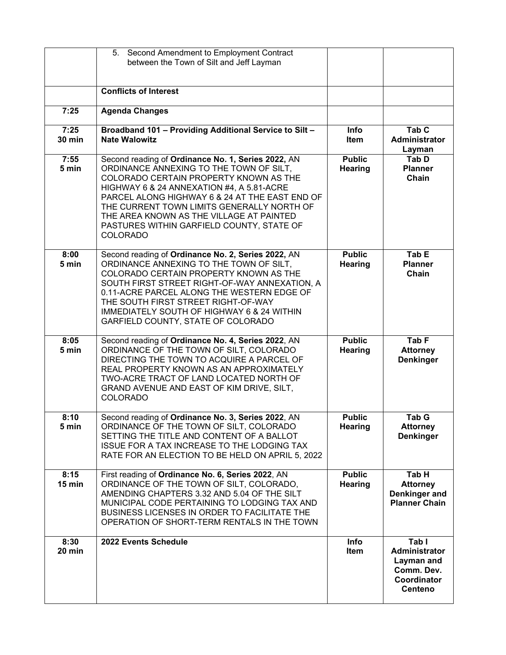|                       | 5. Second Amendment to Employment Contract<br>between the Town of Silt and Jeff Layman                                                                                                                                                                                                                                                                                                           |                                 |                                                                                     |
|-----------------------|--------------------------------------------------------------------------------------------------------------------------------------------------------------------------------------------------------------------------------------------------------------------------------------------------------------------------------------------------------------------------------------------------|---------------------------------|-------------------------------------------------------------------------------------|
|                       | <b>Conflicts of Interest</b>                                                                                                                                                                                                                                                                                                                                                                     |                                 |                                                                                     |
| 7:25                  | <b>Agenda Changes</b>                                                                                                                                                                                                                                                                                                                                                                            |                                 |                                                                                     |
| 7:25<br><b>30 min</b> | Broadband 101 - Providing Additional Service to Silt -<br><b>Nate Walowitz</b>                                                                                                                                                                                                                                                                                                                   | <b>Info</b><br><b>Item</b>      | Tab <sub>C</sub><br>Administrator<br>Layman                                         |
| 7:55<br>5 min         | Second reading of Ordinance No. 1, Series 2022, AN<br>ORDINANCE ANNEXING TO THE TOWN OF SILT,<br>COLORADO CERTAIN PROPERTY KNOWN AS THE<br>HIGHWAY 6 & 24 ANNEXATION #4, A 5.81-ACRE<br>PARCEL ALONG HIGHWAY 6 & 24 AT THE EAST END OF<br>THE CURRENT TOWN LIMITS GENERALLY NORTH OF<br>THE AREA KNOWN AS THE VILLAGE AT PAINTED<br>PASTURES WITHIN GARFIELD COUNTY, STATE OF<br><b>COLORADO</b> | <b>Public</b><br>Hearing        | Tab D<br><b>Planner</b><br>Chain                                                    |
| 8:00<br>5 min         | Second reading of Ordinance No. 2, Series 2022, AN<br>ORDINANCE ANNEXING TO THE TOWN OF SILT.<br>COLORADO CERTAIN PROPERTY KNOWN AS THE<br>SOUTH FIRST STREET RIGHT-OF-WAY ANNEXATION, A<br>0.11-ACRE PARCEL ALONG THE WESTERN EDGE OF<br>THE SOUTH FIRST STREET RIGHT-OF-WAY<br>IMMEDIATELY SOUTH OF HIGHWAY 6 & 24 WITHIN<br>GARFIELD COUNTY, STATE OF COLORADO                                | <b>Public</b><br><b>Hearing</b> | Tab E<br><b>Planner</b><br>Chain                                                    |
| 8:05<br>5 min         | Second reading of Ordinance No. 4, Series 2022, AN<br>ORDINANCE OF THE TOWN OF SILT, COLORADO<br>DIRECTING THE TOWN TO ACQUIRE A PARCEL OF<br>REAL PROPERTY KNOWN AS AN APPROXIMATELY<br>TWO-ACRE TRACT OF LAND LOCATED NORTH OF<br>GRAND AVENUE AND EAST OF KIM DRIVE, SILT,<br><b>COLORADO</b>                                                                                                 | <b>Public</b><br>Hearing        | Tab <sub>F</sub><br><b>Attorney</b><br><b>Denkinger</b>                             |
| 8:10<br>5 min         | Second reading of Ordinance No. 3, Series 2022, AN<br>ORDINANCE OF THE TOWN OF SILT, COLORADO<br>SETTING THE TITLE AND CONTENT OF A BALLOT<br>ISSUE FOR A TAX INCREASE TO THE LODGING TAX<br>RATE FOR AN ELECTION TO BE HELD ON APRIL 5, 2022                                                                                                                                                    | <b>Public</b><br><b>Hearing</b> | Tab G<br><b>Attorney</b><br><b>Denkinger</b>                                        |
| 8:15<br>15 min        | First reading of Ordinance No. 6, Series 2022, AN<br>ORDINANCE OF THE TOWN OF SILT, COLORADO,<br>AMENDING CHAPTERS 3.32 AND 5.04 OF THE SILT<br>MUNICIPAL CODE PERTAINING TO LODGING TAX AND<br>BUSINESS LICENSES IN ORDER TO FACILITATE THE<br>OPERATION OF SHORT-TERM RENTALS IN THE TOWN                                                                                                      | <b>Public</b><br>Hearing        | Tab H<br><b>Attorney</b><br>Denkinger and<br><b>Planner Chain</b>                   |
| 8:30<br>20 min        | 2022 Events Schedule                                                                                                                                                                                                                                                                                                                                                                             | Info<br>Item                    | Tab I<br>Administrator<br>Layman and<br>Comm. Dev.<br>Coordinator<br><b>Centeno</b> |